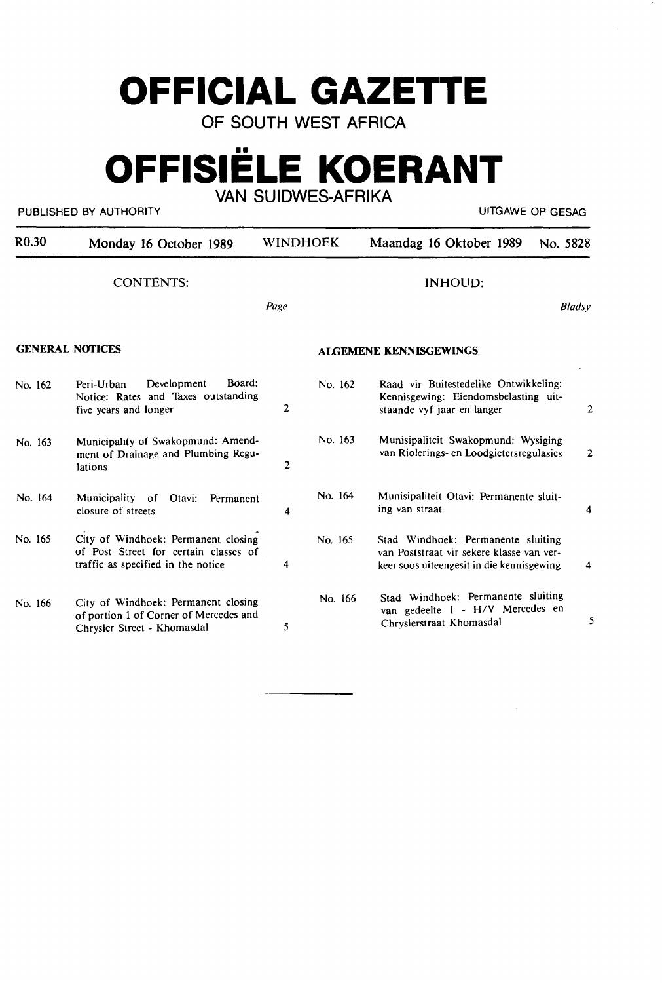# **OFFICIAL GAZETTE**

**OF SOUTH WEST AFRICA** 

## •• **OFFISIELE KOERANT VAN SUIDWES-AFRIKA**

PUBLISHED BY AUTHORITY **EXECUTE A SECURE 2018 THE SECOND SECOND SECOND SECOND SECOND SECOND SECOND SECOND SECOND SECOND SECOND SECOND SECOND SECOND SECOND SECOND SECOND SECOND SECOND SECOND SECOND SECOND SECOND SECOND SECO** 

| R <sub>0.30</sub>      | Monday 16 October 1989                                                                                             | <b>WINDHOEK</b>                    | Maandag 16 Oktober 1989<br>No. 5828                                                                                               |  |
|------------------------|--------------------------------------------------------------------------------------------------------------------|------------------------------------|-----------------------------------------------------------------------------------------------------------------------------------|--|
|                        | <b>CONTENTS:</b>                                                                                                   |                                    | <b>INHOUD:</b>                                                                                                                    |  |
|                        |                                                                                                                    | Page                               | <b>Bladsy</b>                                                                                                                     |  |
| <b>GENERAL NOTICES</b> |                                                                                                                    | <b>ALGEMENE KENNISGEWINGS</b>      |                                                                                                                                   |  |
| No. 162                | Board:<br>Development<br>Peri-Urban<br>Notice: Rates and Taxes outstanding<br>five years and longer                | No. 162<br>$\overline{c}$          | Raad vir Buitestedelike Ontwikkeling:<br>Kennisgewing: Eiendomsbelasting uit-<br>2<br>staande vyf jaar en langer                  |  |
| No. 163                | Municipality of Swakopmund: Amend-<br>ment of Drainage and Plumbing Regu-<br>lations                               | No. 163<br>$\overline{\mathbf{c}}$ | Munisipaliteit Swakopmund: Wysiging<br>van Riolerings- en Loodgietersregulasies<br>$\overline{2}$                                 |  |
| No. 164                | Municipality<br>of<br>Otavi:<br>Permanent<br>closure of streets                                                    | No. 164<br>4                       | Munisipaliteit Otavi: Permanente sluit-<br>ing van straat<br>4                                                                    |  |
| No. 165                | City of Windhoek: Permanent closing<br>of Post Street for certain classes of<br>traffic as specified in the notice | No. 165<br>4                       | Stad Windhoek: Permanente sluiting<br>van Poststraat vir sekere klasse van ver-<br>keer soos uiteengesit in die kennisgewing<br>4 |  |
| No. 166                | City of Windhoek: Permanent closing<br>of portion 1 of Corner of Mercedes and<br>Chrysler Street - Khomasdal       | No. 166<br>5                       | Stad Windhoek: Permanente sluiting<br>van gedeelte 1 - H/V Mercedes en<br>5<br>Chryslerstraat Khomasdal                           |  |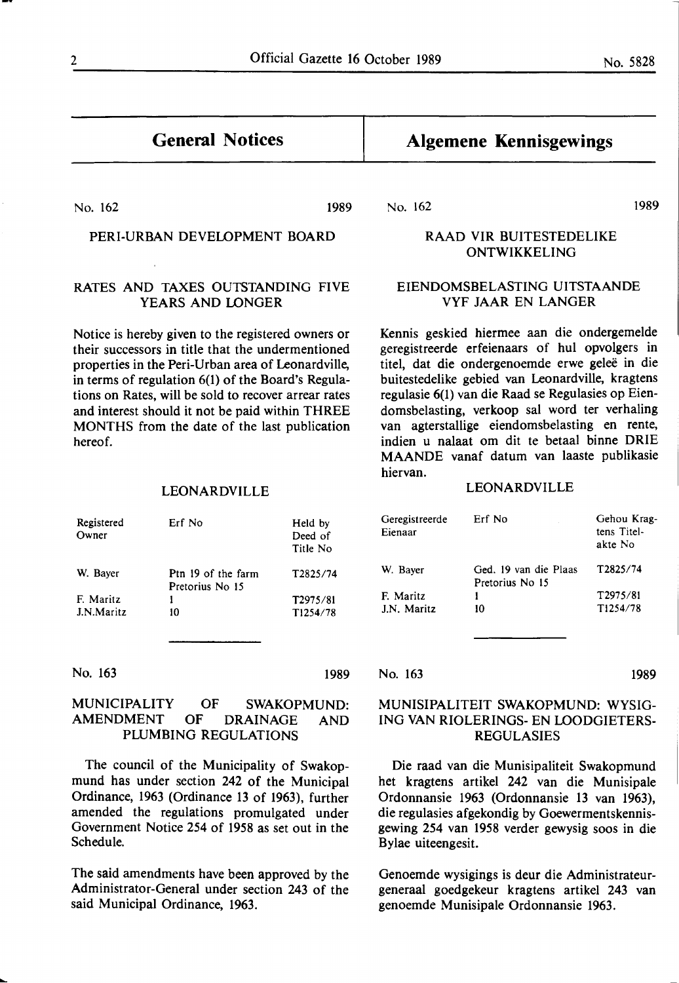### **General Notices**

### **Algemene Kennisgewings**

No. 162 1989

No. 162 1989

### PERI-URBAN DEVELOPMENT BOARD

### RATES AND TAXES OUTSTANDING FIVE YEARS AND LONGER

Notice is hereby given to the registered owners or their successors in title that the undermentioned properties in the Peri-Urban area of Leonardville, in terms of regulation 6(1) of the Board's Regulations on Rates, will be sold to recover arrear rates and interest should it not be paid within THREE MONTHS from the date of the last publication hereof.

### LEONARDVILLE

| Registered<br>Owner | Erf No                                | Held by<br>Deed of<br>Title No |
|---------------------|---------------------------------------|--------------------------------|
| W. Bayer            | Ptn 19 of the farm<br>Pretorius No 15 | T2825/74                       |
| F. Maritz           |                                       | T2975/81                       |
| J.N.Maritz          | 10                                    | T1254/78                       |

### No. 163 **1989**

....

### MUNICIPALITY OF SWAKOPMUND: AMENDMENT OF DRAINAGE AND PLUMBING REGULATIONS

The council of the Municipality of Swakopmund has under section 242 of the Municipal Ordinance, 1963 (Ordinance 13 of 1963), further amended the regulations promulgated under Government Notice 254 of 1958 as set out in the Schedule.

The **said** amendments have been approved by the Administrator-General under section 243 of the said Municipal Ordinance, 1963.

### RAAD VIR BUITESTEDELIKE ONTWIKKELING

### EIENDOMSBELASTING UITSTAANDE VYF JAAR EN LANGER

Kennis geskied hiermee aan die ondergemelde geregistreerde erfeienaars of hul opvolgers in titel, dat die ondergenoemde erwe gelee in die buitestedelike gebied van Leonardville, kragtens regulasie 6(1) van die Raad se Regulasies op Eiendomsbelasting, verkoop sal word ter verhaling van agterstallige eiendomsbelasting **en** rente, indien u nalaat om dit te betaal binne ORIE MAANDE vanaf datum van laaste publikasie hiervan.

### LEONARDVILLE

| Erf No                                   | Gehou Krag-<br>tens Titel-<br>akte No |
|------------------------------------------|---------------------------------------|
| Ged. 19 van die Plaas<br>Pretorius No 15 | T2825/74                              |
| ı                                        | T2975/81                              |
| 10                                       | T <sub>1254</sub> /78                 |
|                                          |                                       |

No. 163 1989

J

### MUNISIPALITEIT SWAKOPMUND: WYSIG-ING VAN RIOLERINGS- EN LOODGIETERS-REGULASIES

Die raad van die Munisipaliteit Swakopmund bet kragtens artikel 242 van die Munisipale Ordonnansie 1963 (Ordonnansie 13 van 1963), die regulasies afgekondig by Goewermentskennisgewing 254 van 1958 verder gewysig soos in die Bylae uiteengesit.

Genoemde wysigings is deur die Administrateurgeneraal goedgekeur kragtens artikel 243 van genoemde Munisipale Ordonnansie 1963.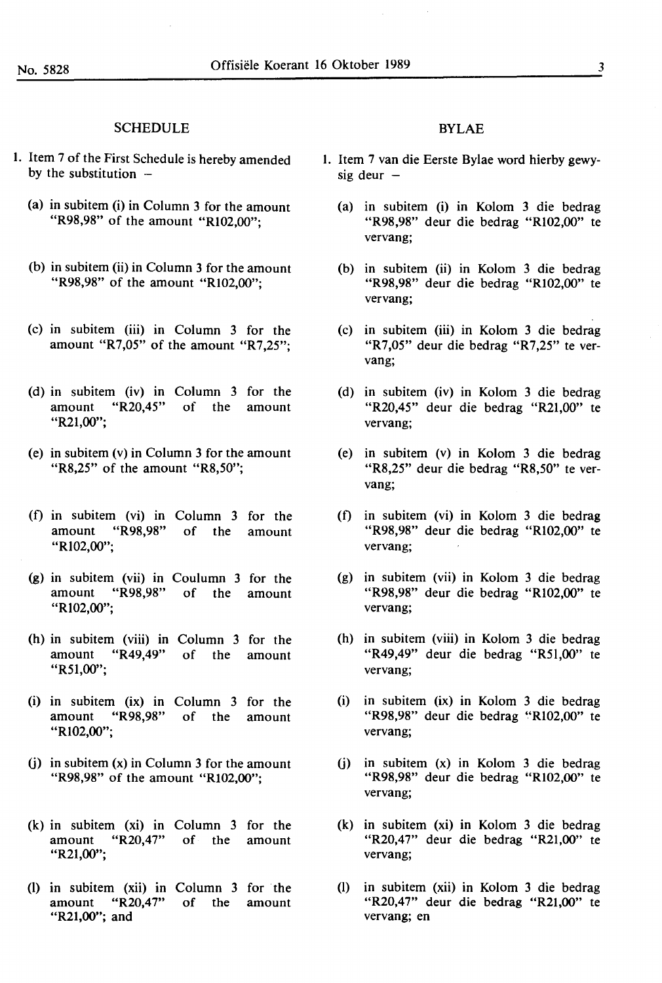### **SCHEDULE**

- I. Item 7 of the First Schedule is hereby amended by the substitution  $-$ 
	- (a) in subitem (i) in Column 3 for the amount "R98,98" of the amount "R102,00";
	- (b) in subitem (ii) in Column 3 for the amount "R98,98" of the amount "Rl02,00";
	- (c) in subitem (iii) in Column 3 for the amount "R7,05" of the amount "R7,25";
	- (d) in subitem (iv) in Column  $3$  for the amount "R20,45" of the amount "R21,00";
	- (e) in subitem (v) in Column 3 for the amount "R8,25" of the amount "R8,50";
	- (f) in subitem (vi) in Column  $3$  for the amount "R98,98" of the amount "R102,00";
	- (g) in subitem (vii) in Coulumn 3 for the amount "R98,98" of the amount "R102,00":
	- (h) in subitem (viii) in Column 3 for the amount "R49,49" of the amount "R51,00";
	- $(i)$  in subitem  $(ix)$  in Column 3 for the amount "R98,98" of the amount "Rl02,00";
	- $(i)$  in subitem  $(x)$  in Column 3 for the amount "R98,98" of the amount "R102,00";
	- $(k)$  in subitem  $(xi)$  in Column 3 for the amount "R20,47" of the amount **"R21,00";**
	- (I) in subitem (xii) in Column  $3$  for the amount "R20,47" of the amount "R21,00"; and

### BYLAE

- I. Item 7 van die Eerste Bylae word hierby gewysig deur  $-$ 
	- (a) in subitem (i) in Kolom 3 die bedrag "R98,98" deur die bedrag "R102,00" te vervang;
	- (b) in subitem (ii) in Kolom 3 die bedrag "R98,98" deur die bedrag "R102,00" te vervang;
	- (c) in subitem (iii) in Kolom 3 die bedrag "R7,05" deur die bedrag "R7,25" te vervang;
	- (d) in subitem (iv) in Kolom 3 die bedrag "R20,45" deur die bedrag "R21,00" te vervang;
	- (e) in subitem (v) in Kolom 3 die bedrag "R8,25" deur die bedrag "R8,50" te vervang;
	- (f) in subitem (vi) in Kolom 3 die bedrag "R98,98" deur die bedrag "Rl02,00" te vervang;
	- (g) in subitem (vii) in Kolom 3 die bedrag "R98,98" deur die bedrag "R102,00" te vervang;
	- (h) in subitem (viii) in Kolom 3 die bedrag "R49,49" deur die bedrag "R51,00" te vervang;
	- (i) in subitem (ix) in Kolom 3 die bedrag "R98,98" deur die bedrag "R102,00" te vervang;
	- (j) in subitem (x) in Kolom 3 die bedrag "R98,98" deur die bedrag "Rl02,00" te vervang;
	- (k) in subitem (xi) in Kolom 3 die bedrag "R20,47" deur die bedrag "R21,00" te vervang;
	- (l) in subitem (xii) in Kolom 3 die bedrag "R20,47" deur die bedrag **"R21,00"** te vervang; en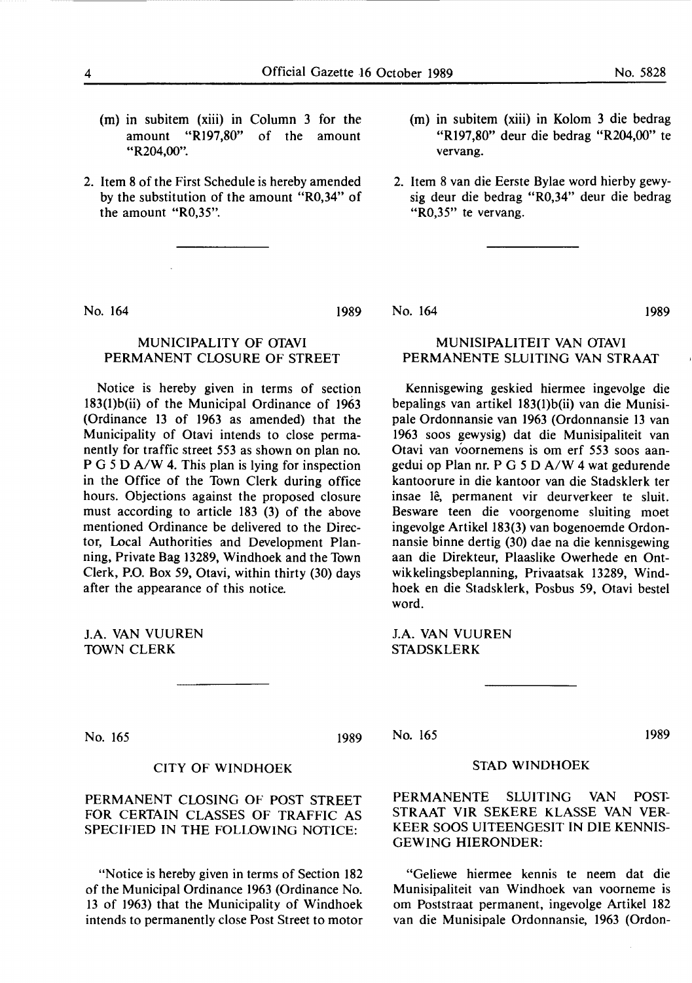- (m) in subitem (xiii) in Column 3 for the amount "R197,80" of the amount "R204,00".
- 2. Item 8 of the First Schedule is hereby amended by the substitution of the amount "R0,34" of the amount "R0,35".

No. 164 1989

### MUNICIPALITY OF OTAVI PERMANENT CLOSURE OF STREET

Notice is hereby given in terms of section 183(1)b(ii) of the Municipal Ordinance of 1963 (Ordinance 13 of 1963 as amended) that the Municipality of Otavi intends to close permanently for traffic street 553 as shown on plan no. P G 5 D A/W 4. This plan is lying for inspection in the Office of the Town Clerk during office hours. Objections against the proposed closure must according to article 183 (3) of the above mentioned Ordinance be delivered to the Director, Local Authorities and Development Planning, Private Bag 13289, Windhoek and the Town Clerk, P.O. Box 59, Otavi, within thirty (30) days after the appearance of this notice.

J.A. VAN VUUREN TOWN CLERK

No. 165 1989

### CITY OF WINDHOEK

PERMANENT CLOSING OF POST STREET FOR CERTAIN CLASSES OF TRAFFIC AS SPECIFIED IN THE FOLLOWING NOTICE:

"Notice is hereby given in terms of Section 182 of the Municipal Ordinance 1963 (Ordinance No. 13 of 1963) that the Municipality of Windhoek intends to permanently close Post Street to motor

- (m) in subitem (xiii) in Kolom 3 die bedrag **"RI** 97 ,80" deur die bedrag "R204,00" te **vervang.**
- 2. Item 8 van die Eerste Bylae word hierby gewysig deur die bedrag "R0,34" deur die bedrag "R0,35" te vervang.

No. 164 1989

### MUNISIPALITEIT VAN **OTAVI**  PERMANENTE SLUITING **VAN STRAAT**

Kennisgewing geskied hiermee ingevolge die bepalings van artikel 183(1)b(ii) van die Munisipale Ordonnansie van 1963 (Ordonnansie 13 van 1963 soos gewysig) dat die Munisipaliteit van Otavi van v'oornemens is om erf 553 soos aangedui op Plan nr. P G *5* D A/W 4 wat gedurende kantoorure in die kantoor van die Stadsklerk ter insae lê, permanent vir deurverkeer te sluit. Besware teen die voorgenome sluiting moet ingevolge Artikel 183(3) van bogenoemde Ordonnansie binne dertig (30) dae na die kennisgewing aan die Direkteur, Plaaslike Owerhede en Ontwikkelingsbeplanning, Privaatsak 13289, Windhoek en die Stadsklerk, Posbus 59, **Otavi** bestel word.

J.A. VAN VUUREN **STADSKLERK** 

No. 165 1989

### STAD **WINDHOEK**

PERMANENTE SLUITING VAN POST-STRAAT VIR SEKERE KLASSE VAN VER-KEER SOOS UITEENGESIT IN DIE KENNIS-GEWING HIERONDER:

"Geliewe hiermee kennis te neem dat die Munisipaliteit van Windhoek van voorneme is om Poststraat permanent, ingevolge Artikel 182 van die Munisipale Ordonnansie, 1963 (Ordon-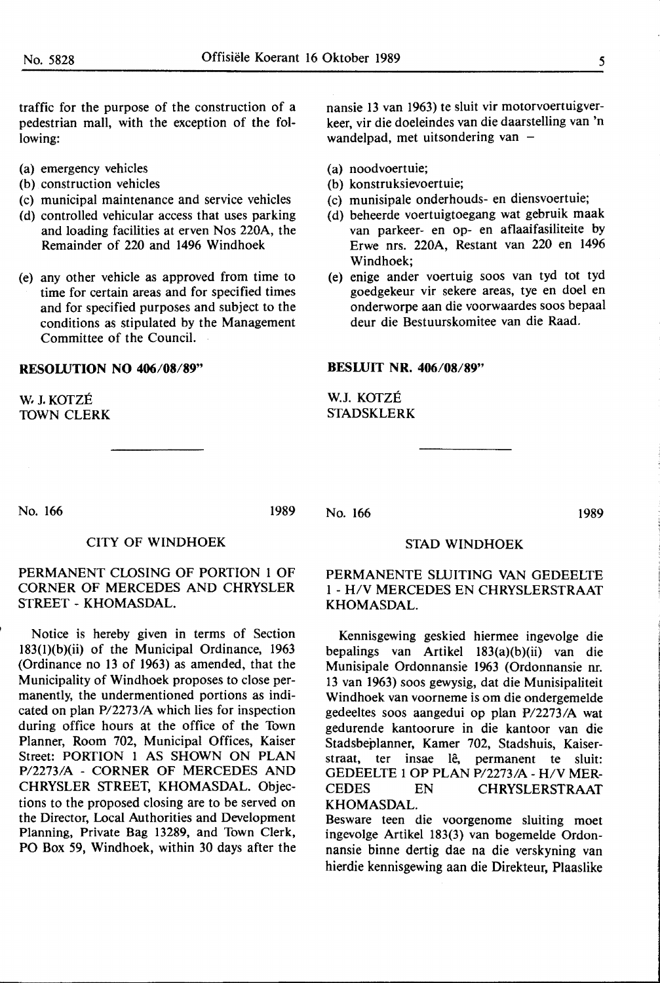traffic for the purpose of the construction of a pedestrian mall, with the exception of the following:

- (a) emergency vehicles
- (b) construction vehicles
- (c) municipal maintenance and service vehicles
- (d) controlled vehicular access that uses parking and loading facilities at erven Nos 220A, the Remainder of 220 and 1496 Windhoek
- (e) any other vehicle as approved from time to time for certain areas and for specified times and for specified purposes and subject to the conditions as stipulated by the Management Committee of the Council.

### **RESOLUTION NO 406/08/89"**

W,J.KOTZE 10WN CLERK nansie 13 van 1963) te sluit vir motorvoertuigverkeer, vir die doeleindes van die daarstelling van 'n wandelpad, met uitsondering van  $-$ 

- (a) noodvoertuie;
- (b) konstruksievoertuie;
- (c) munisipale onderhouds- en diensvoertuie;
- (d) beheerde voertuigtoegang wat gebruik maak van parkeer- en op- en aflaaifasiliteite by Erwe nrs. 220A, Restant van 220 en 1496 Windhoek;
- (e) enige ander voertuig soos van tyd tot tyd goedgekeur vir sekere areas, tye en doel en onderworpe aan die voorwaardes soos bepaal deur die Bestuurskomitee van die Raad.

### **BESWIT NR. 406/08/89"**

W.J. KOTZE STADSKLERK

No. 166 1989

No. 166 1989

### CITY OF WINDHOEK

### PERMANENT CLOSING OF PORTION 1 OF CORNER OF MERCEDES AND CHRYSLER STREET - **KHOMASDAL.**

Notice is hereby given in terms of Section 183(l)(b)(ii) of the Municipal Ordinance, 1963 (Ordinance no 13 of 1963) as amended, that the Municipality of Windhoek proposes to close permanently, the undermentioned portions as indicated on plan P/2273/A which lies for inspection during office hours at the office of the Town Planner, Room 702, Municipal Offices, Kaiser Street: **PORTION** 1 **AS SHOWN ON PLAN**  P/2273/A - CORNER OF MERCEDES AND CHRYSLER STREET, KHOMASDAL. Objections to the proposed closing are to be served on the Director, Local Authorities and Development Planning, Private Bag 13289, and Town Clerk, PO Box 59, Windhoek, within 30 days after the

### **STAD WINDHOEK**

### **PERMANENTE** SLUITING VAN GEDEELTE **l** - H/V MERCEDES EN **CHRYSLERSTRAAT KHOMASDAL.**

Kennisgewing geskied hiermee ingevolge die bepalings van Artikel 183(a)(b)(ii) van die Munisipale Ordonnansie 1963 (Ordonnansie nr. 13 van 1963) soos gewysig, dat die Munisipaliteit Windhoek van voorneme is om die ondergemelde gedeeltes soos aangedui op plan P/2273/A wat gedurende kantoorure in die kantoor van die Stadsbeplanner, Kamer 702, Stadshuis, Kaiserstraat, ter insae lê, permanent te sluit: GEDEELTE 1 OP PLAN P/2273/A - H/V MER-CEDES EN CHRYSLERSTRAAT KHOMASDAL.

Besware teen die voorgenome sluiting moet ingevolge Artikel 183(3) van bogemelde Ordonnansie binne dertig dae na die verskyning van hierdie kennisgewing aan die Direkteur, Plaaslike